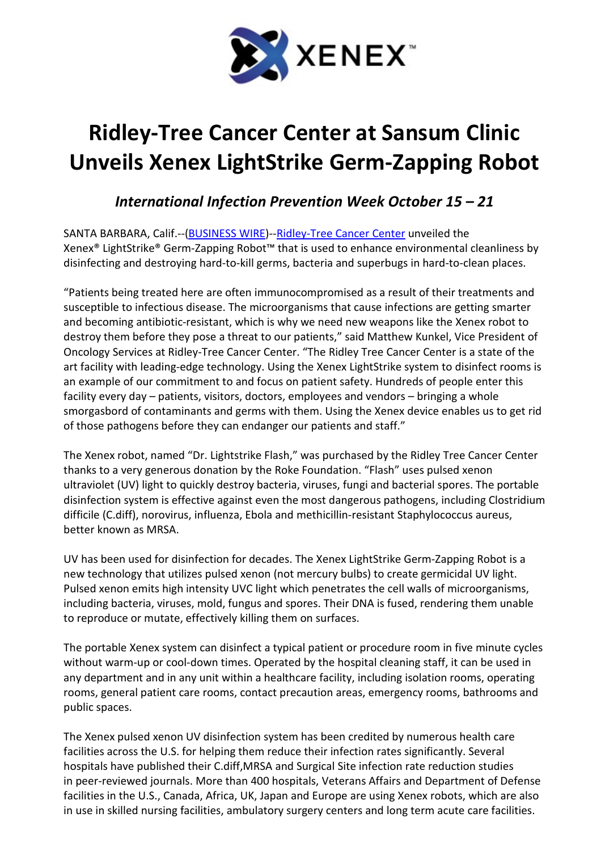

## Ridley-Tree Cancer Center at Sansum Clinic Unveils Xenex LightStrike Germ-Zapping Robot

International Infection Prevention Week October 15 – 21

SANTA BARBARA, Calif.--(BUSINESS WIRE)--Ridley-Tree Cancer Center unveiled the Xenex® LightStrike® Germ-Zapping Robot™ that is used to enhance environmental cleanliness by disinfecting and destroying hard-to-kill germs, bacteria and superbugs in hard-to-clean places.

"Patients being treated here are often immunocompromised as a result of their treatments and susceptible to infectious disease. The microorganisms that cause infections are getting smarter and becoming antibiotic-resistant, which is why we need new weapons like the Xenex robot to destroy them before they pose a threat to our patients," said Matthew Kunkel, Vice President of Oncology Services at Ridley-Tree Cancer Center. "The Ridley Tree Cancer Center is a state of the art facility with leading-edge technology. Using the Xenex LightStrike system to disinfect rooms is an example of our commitment to and focus on patient safety. Hundreds of people enter this facility every day – patients, visitors, doctors, employees and vendors – bringing a whole smorgasbord of contaminants and germs with them. Using the Xenex device enables us to get rid of those pathogens before they can endanger our patients and staff."

The Xenex robot, named "Dr. Lightstrike Flash," was purchased by the Ridley Tree Cancer Center thanks to a very generous donation by the Roke Foundation. "Flash" uses pulsed xenon ultraviolet (UV) light to quickly destroy bacteria, viruses, fungi and bacterial spores. The portable disinfection system is effective against even the most dangerous pathogens, including Clostridium difficile (C.diff), norovirus, influenza, Ebola and methicillin-resistant Staphylococcus aureus, better known as MRSA.

UV has been used for disinfection for decades. The Xenex LightStrike Germ-Zapping Robot is a new technology that utilizes pulsed xenon (not mercury bulbs) to create germicidal UV light. Pulsed xenon emits high intensity UVC light which penetrates the cell walls of microorganisms, including bacteria, viruses, mold, fungus and spores. Their DNA is fused, rendering them unable to reproduce or mutate, effectively killing them on surfaces.

The portable Xenex system can disinfect a typical patient or procedure room in five minute cycles without warm-up or cool-down times. Operated by the hospital cleaning staff, it can be used in any department and in any unit within a healthcare facility, including isolation rooms, operating rooms, general patient care rooms, contact precaution areas, emergency rooms, bathrooms and public spaces.

The Xenex pulsed xenon UV disinfection system has been credited by numerous health care facilities across the U.S. for helping them reduce their infection rates significantly. Several hospitals have published their C.diff,MRSA and Surgical Site infection rate reduction studies in peer-reviewed journals. More than 400 hospitals, Veterans Affairs and Department of Defense facilities in the U.S., Canada, Africa, UK, Japan and Europe are using Xenex robots, which are also in use in skilled nursing facilities, ambulatory surgery centers and long term acute care facilities.